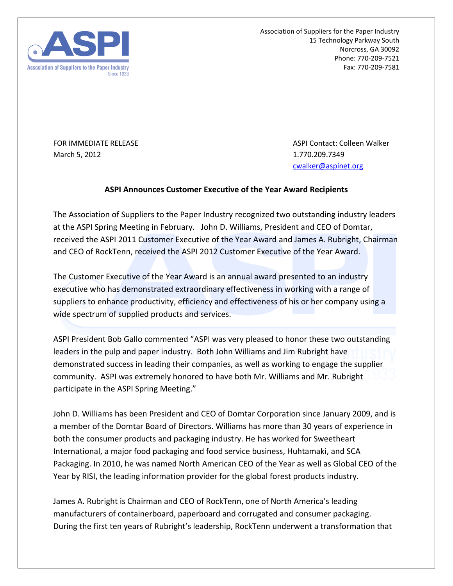

Association of Suppliers for the Paper Industry 15 Technology Parkway South Norcross, GA 30092 Phone: 770-209-7521 Fax: 770-209-7581

March 5, 2012 **1.770.209.7349** 

FOR IMMEDIATE RELEASE ASPI Contact: Colleen Walker [cwalker@aspinet.org](mailto:cwalker@aspinet.org)

## **ASPI Announces Customer Executive of the Year Award Recipients**

The Association of Suppliers to the Paper Industry recognized two outstanding industry leaders at the ASPI Spring Meeting in February. John D. Williams, President and CEO of Domtar, received the ASPI 2011 Customer Executive of the Year Award and James A. Rubright, Chairman and CEO of RockTenn, received the ASPI 2012 Customer Executive of the Year Award.

The Customer Executive of the Year Award is an annual award presented to an industry executive who has demonstrated extraordinary effectiveness in working with a range of suppliers to enhance productivity, efficiency and effectiveness of his or her company using a wide spectrum of supplied products and services.

ASPI President Bob Gallo commented "ASPI was very pleased to honor these two outstanding leaders in the pulp and paper industry. Both John Williams and Jim Rubright have demonstrated success in leading their companies, as well as working to engage the supplier community. ASPI was extremely honored to have both Mr. Williams and Mr. Rubright participate in the ASPI Spring Meeting."

John D. Williams has been President and CEO of Domtar Corporation since January 2009, and is a member of the Domtar Board of Directors. Williams has more than 30 years of experience in both the consumer products and packaging industry. He has worked for Sweetheart International, a major food packaging and food service business, Huhtamaki, and SCA Packaging. In 2010, he was named North American CEO of the Year as well as Global CEO of the Year by RISI, the leading information provider for the global forest products industry.

James A. Rubright is Chairman and CEO of RockTenn, one of North America's leading manufacturers of containerboard, paperboard and corrugated and consumer packaging. During the first ten years of Rubright's leadership, RockTenn underwent a transformation that